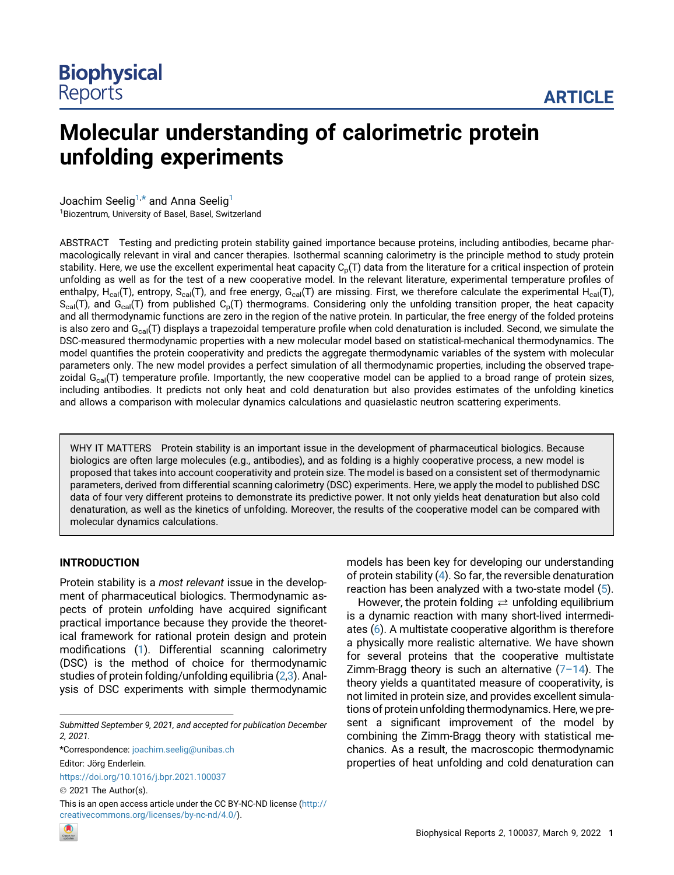# Molecular understanding of calorimetric protein unfolding experiments

Joachim Seelig<sup>1,[\\*](#page-0-0)</sup> and Anna Seelig<sup>1</sup>

<sup>1</sup> Biozentrum, University of Basel, Basel, Switzerland

ABSTRACT Testing and predicting protein stability gained importance because proteins, including antibodies, became pharmacologically relevant in viral and cancer therapies. Isothermal scanning calorimetry is the principle method to study protein stability. Here, we use the excellent experimental heat capacity  $C_p(T)$  data from the literature for a critical inspection of protein unfolding as well as for the test of a new cooperative model. In the relevant literature, experimental temperature profiles of enthalpy, H<sub>cal</sub>(T), entropy, S<sub>cal</sub>(T), and free energy, G<sub>cal</sub>(T) are missing. First, we therefore calculate the experimental H<sub>cal</sub>(T),  $S_{cal}(T)$ , and  $G_{cal}(T)$  from published  $C_p(T)$  thermograms. Considering only the unfolding transition proper, the heat capacity and all thermodynamic functions are zero in the region of the native protein. In particular, the free energy of the folded proteins is also zero and  $G<sub>cal</sub>(T)$  displays a trapezoidal temperature profile when cold denaturation is included. Second, we simulate the DSC-measured thermodynamic properties with a new molecular model based on statistical-mechanical thermodynamics. The model quantifies the protein cooperativity and predicts the aggregate thermodynamic variables of the system with molecular parameters only. The new model provides a perfect simulation of all thermodynamic properties, including the observed trapezoidal  $G<sub>cal</sub>(T)$  temperature profile. Importantly, the new cooperative model can be applied to a broad range of protein sizes, including antibodies. It predicts not only heat and cold denaturation but also provides estimates of the unfolding kinetics and allows a comparison with molecular dynamics calculations and quasielastic neutron scattering experiments.

WHY IT MATTERS Protein stability is an important issue in the development of pharmaceutical biologics. Because biologics are often large molecules (e.g., antibodies), and as folding is a highly cooperative process, a new model is proposed that takes into account cooperativity and protein size. The model is based on a consistent set of thermodynamic parameters, derived from differential scanning calorimetry (DSC) experiments. Here, we apply the model to published DSC data of four very different proteins to demonstrate its predictive power. It not only yields heat denaturation but also cold denaturation, as well as the kinetics of unfolding. Moreover, the results of the cooperative model can be compared with molecular dynamics calculations.

# INTRODUCTION

Protein stability is a most relevant issue in the development of pharmaceutical biologics. Thermodynamic aspects of protein unfolding have acquired significant practical importance because they provide the theoretical framework for rational protein design and protein modifications [\(1\)](#page-9-0). Differential scanning calorimetry (DSC) is the method of choice for thermodynamic studies of protein folding/unfolding equilibria [\(2,](#page-9-1)[3\)](#page-9-2). Analysis of DSC experiments with simple thermodynamic

<span id="page-0-0"></span>\*Correspondence: [joachim.seelig@unibas.ch](mailto:joachim.seelig@unibas.ch)

Editor: Jörg Enderlein. <https://doi.org/10.1016/j.bpr.2021.100037>

2021 The Author(s).

This is an open access article under the CC BY-NC-ND license [\(http://](http://creativecommons.org/licenses/by-nc-nd/4.0/) [creativecommons.org/licenses/by-nc-nd/4.0/](http://creativecommons.org/licenses/by-nc-nd/4.0/)).

models has been key for developing our understanding of protein stability ([4](#page-9-3)). So far, the reversible denaturation reaction has been analyzed with a two-state model [\(5\)](#page-9-4).

However, the protein folding  $\rightleftarrows$  unfolding equilibrium is a dynamic reaction with many short-lived intermediates ([6](#page-9-5)). A multistate cooperative algorithm is therefore a physically more realistic alternative. We have shown for several proteins that the cooperative multistate Zimm-Bragg theory is such an alternative  $(7-14)$  $(7-14)$ . The theory yields a quantitated measure of cooperativity, is not limited in protein size, and provides excellent simulations of protein unfolding thermodynamics. Here, we present a significant improvement of the model by combining the Zimm-Bragg theory with statistical mechanics. As a result, the macroscopic thermodynamic properties of heat unfolding and cold denaturation can



Submitted September 9, 2021, and accepted for publication December 2, 2021.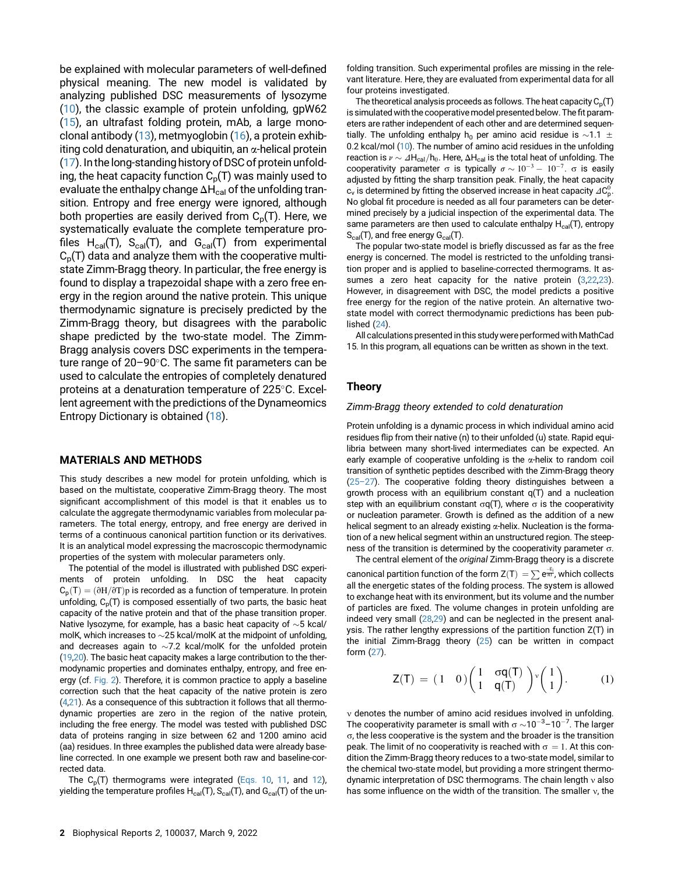be explained with molecular parameters of well-defined physical meaning. The new model is validated by analyzing published DSC measurements of lysozyme ([10\)](#page-9-7), the classic example of protein unfolding, gpW62 ([15\)](#page-9-8), an ultrafast folding protein, mAb, a large monoclonal antibody ([13\)](#page-9-9), metmyoglobin [\(16](#page-9-10)), a protein exhibiting cold denaturation, and ubiquitin, an  $\alpha$ -helical protein ([17\)](#page-9-11). In the long-standing history of DSC of protein unfolding, the heat capacity function  $C_p(T)$  was mainly used to evaluate the enthalpy change  $\Delta H_{cal}$  of the unfolding transition. Entropy and free energy were ignored, although both properties are easily derived from  $C_p(T)$ . Here, we systematically evaluate the complete temperature profiles  $H_{cal}(T)$ ,  $S_{cal}(T)$ , and  $G_{cal}(T)$  from experimental  $C_p(T)$  data and analyze them with the cooperative multistate Zimm-Bragg theory. In particular, the free energy is found to display a trapezoidal shape with a zero free energy in the region around the native protein. This unique thermodynamic signature is precisely predicted by the Zimm-Bragg theory, but disagrees with the parabolic shape predicted by the two-state model. The Zimm-Bragg analysis covers DSC experiments in the temperature range of  $20-90^\circ$ C. The same fit parameters can be used to calculate the entropies of completely denatured proteins at a denaturation temperature of  $225^{\circ}$ C. Excellent agreement with the predictions of the Dynameomics Entropy Dictionary is obtained ([18](#page-9-12)).

#### MATERIALS AND METHODS

This study describes a new model for protein unfolding, which is based on the multistate, cooperative Zimm-Bragg theory. The most significant accomplishment of this model is that it enables us to calculate the aggregate thermodynamic variables from molecular parameters. The total energy, entropy, and free energy are derived in terms of a continuous canonical partition function or its derivatives. It is an analytical model expressing the macroscopic thermodynamic properties of the system with molecular parameters only.

<span id="page-1-0"></span>The potential of the model is illustrated with published DSC experiments of protein unfolding. In DSC the heat capacity  $C_p(T) = (\partial H/\partial T)p$  is recorded as a function of temperature. In protein unfolding,  $C_p(T)$  is composed essentially of two parts, the basic heat capacity of the native protein and that of the phase transition proper. Native lysozyme, for example, has a basic heat capacity of  $\sim$  5 kcal/ molK, which increases to  $\sim$  25 kcal/molK at the midpoint of unfolding, and decreases again to  $\sim$ 7.2 kcal/molK for the unfolded protein [\(19,](#page-9-13)[20\)](#page-9-14). The basic heat capacity makes a large contribution to the thermodynamic properties and dominates enthalpy, entropy, and free energy (cf. [Fig. 2\)](#page-4-0). Therefore, it is common practice to apply a baseline correction such that the heat capacity of the native protein is zero [\(4](#page-9-3),[21](#page-9-15)). As a consequence of this subtraction it follows that all thermodynamic properties are zero in the region of the native protein, including the free energy. The model was tested with published DSC data of proteins ranging in size between 62 and 1200 amino acid (aa) residues. In three examples the published data were already baseline corrected. In one example we present both raw and baseline-corrected data.

The  $C_p(T)$  thermograms were integrated [\(Eqs. 10,](#page-2-0) [11](#page-2-1), and [12](#page-2-2)), yielding the temperature profiles  $H_{cal}(T)$ ,  $S_{cal}(T)$ , and  $G_{cal}(T)$  of the un-

2 Biophysical Reports 2, 100037, March 9, 2022

folding transition. Such experimental profiles are missing in the relevant literature. Here, they are evaluated from experimental data for all four proteins investigated.

The theoretical analysis proceeds as follows. The heat capacity  $C_p(T)$ is simulated with the cooperative model presented below. The fit parameters are rather independent of each other and are determined sequentially. The unfolding enthalpy h<sub>0</sub> per amino acid residue is  $\sim$ 1.1  $\pm$ 0.2 kcal/mol [\(10](#page-9-7)). The number of amino acid residues in the unfolding reaction is  $v \sim \Delta H_{cal}/h_0$ . Here,  $\Delta H_{cal}$  is the total heat of unfolding. The cooperativity parameter  $\sigma$  is typically  $\sigma \sim 10^{-3} - 10^{-7}$ .  $\sigma$  is easily adjusted by fitting the sharp transition peak. Finally, the heat capacity  $\mathsf{c}_{\mathsf{v}}$  is determined by fitting the observed increase in heat capacity  $\mathsf{2C}^0_{\mathsf{p}}.$ No global fit procedure is needed as all four parameters can be determined precisely by a judicial inspection of the experimental data. The same parameters are then used to calculate enthalpy  $H_{cal}(T)$ , entropy  $S_{cal}(T)$ , and free energy  $G_{cal}(T)$ .

The popular two-state model is briefly discussed as far as the free energy is concerned. The model is restricted to the unfolding transition proper and is applied to baseline-corrected thermograms. It assumes a zero heat capacity for the native protein ([3](#page-9-2),[22,](#page-9-16)[23\)](#page-9-17). However, in disagreement with DSC, the model predicts a positive free energy for the region of the native protein. An alternative twostate model with correct thermodynamic predictions has been published [\(24](#page-10-0)).

All calculations presented in this study were performed with MathCad 15. In this program, all equations can be written as shown in the text.

## Theory

#### Zimm-Bragg theory extended to cold denaturation

Protein unfolding is a dynamic process in which individual amino acid residues flip from their native (n) to their unfolded (u) state. Rapid equilibria between many short-lived intermediates can be expected. An early example of cooperative unfolding is the  $\alpha$ -helix to random coil transition of synthetic peptides described with the Zimm-Bragg theory [\(25](#page-10-1)–27). The cooperative folding theory distinguishes between a growth process with an equilibrium constant q(T) and a nucleation step with an equilibrium constant  $\sigma q(T)$ , where  $\sigma$  is the cooperativity or nucleation parameter. Growth is defined as the addition of a new helical segment to an already existing  $\alpha$ -helix. Nucleation is the formation of a new helical segment within an unstructured region. The steepness of the transition is determined by the cooperativity parameter  $\sigma$ .

The central element of the original Zimm-Bragg theory is a discrete canonical partition function of the form Z(T)  $=$   $\sum \frac{e^{-E_{ij}}}{e^{i\pi t}}$ , which collects all the energetic states of the folding process. The system is allowed to exchange heat with its environment, but its volume and the number of particles are fixed. The volume changes in protein unfolding are indeed very small ([28,](#page-10-2)[29\)](#page-10-3) and can be neglected in the present analysis. The rather lengthy expressions of the partition function Z(T) in the initial Zimm-Bragg theory [\(25\)](#page-10-1) can be written in compact form [\(27](#page-10-4)).

$$
\mathsf{Z}(\mathsf{T}) = (1 \quad 0) \begin{pmatrix} 1 & \sigma \mathsf{q}(\mathsf{T}) \\ 1 & \mathsf{q}(\mathsf{T}) \end{pmatrix} \begin{pmatrix} 1 \\ 1 \end{pmatrix}.
$$
 (1)

 $v$  denotes the number of amino acid residues involved in unfolding. The cooperativity parameter is small with  $\sigma$   $\sim$ 10<sup>-3</sup>–10<sup>-7</sup>. The larger  $\sigma$ , the less cooperative is the system and the broader is the transition peak. The limit of no cooperativity is reached with  $\sigma = 1$ . At this condition the Zimm-Bragg theory reduces to a two-state model, similar to the chemical two-state model, but providing a more stringent thermodynamic interpretation of DSC thermograms. The chain length  $\nu$  also has some influence on the width of the transition. The smaller  $v$ , the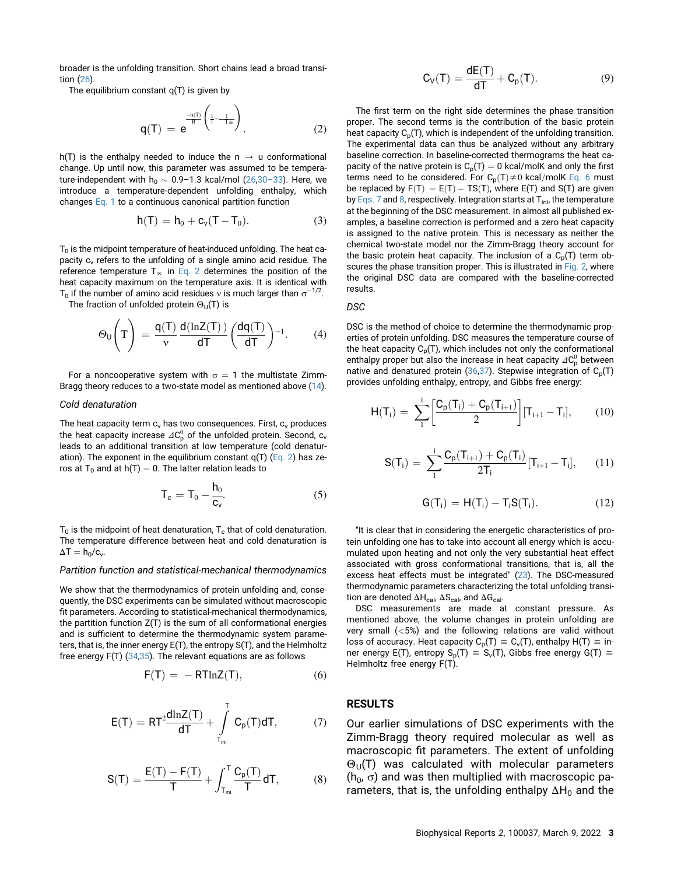<span id="page-2-7"></span><span id="page-2-3"></span>broader is the unfolding transition. Short chains lead a broad transition ([26\)](#page-10-5).

The equilibrium constant q(T) is given by

$$
q(T) = e^{\frac{-h(T)}{R} \left( \frac{1}{T} - \frac{1}{T_{\infty}} \right)}.
$$
 (2)

h(T) is the enthalpy needed to induce the  $n \rightarrow u$  conformational change. Up until now, this parameter was assumed to be temperature-independent with  $h_0 \sim 0.9$ –1.3 kcal/mol [\(26,](#page-10-5)30–[33](#page-10-6)). Here, we introduce a temperature-dependent unfolding enthalpy, which changes [Eq. 1](#page-1-0) to a continuous canonical partition function

$$
h(T) = h_0 + c_v(T - T_0).
$$
 (3)

 $T<sub>0</sub>$  is the midpoint temperature of heat-induced unfolding. The heat capacity c<sub>y</sub> refers to the unfolding of a single amino acid residue. The reference temperature  $T_{\infty}$  in [Eq. 2](#page-2-3) determines the position of the heat capacity maximum on the temperature axis. It is identical with T<sub>0</sub> if the number of amino acid residues v is much larger than  $\sigma^{-1/2}$ .

The fraction of unfolded protein  $\Theta_{U}(T)$  is

$$
\Theta_{U}\left(T\right) = \frac{q(T)}{v} \frac{d(\ln Z(T))}{dT} \left(\frac{dq(T)}{dT}\right)^{-1}.
$$
 (4)

<span id="page-2-0"></span>For a noncooperative system with  $\sigma = 1$  the multistate Zimm-Bragg theory reduces to a two-state model as mentioned above ([14\)](#page-9-18).

#### Cold denaturation

<span id="page-2-8"></span><span id="page-2-1"></span>The heat capacity term  $c_v$  has two consequences. First,  $c_v$  produces the heat capacity increase  $\mathit{\Delta} C_{\mathrm{p}}^0$  of the unfolded protein. Second,  $\mathrm{c_v}$ leads to an additional transition at low temperature (cold denaturation). The exponent in the equilibrium constant  $q(T)$  [\(Eq. 2](#page-2-3)) has zeros at T<sub>0</sub> and at h(T) = 0. The latter relation leads to

$$
T_c = T_0 - \frac{h_0}{c_v}.
$$
 (5)

<span id="page-2-2"></span> $T_0$  is the midpoint of heat denaturation,  $T_c$  that of cold denaturation. The temperature difference between heat and cold denaturation is  $\Delta T = h_0/c_v$ .

#### Partition function and statistical-mechanical thermodynamics

<span id="page-2-4"></span>We show that the thermodynamics of protein unfolding and, consequently, the DSC experiments can be simulated without macroscopic fit parameters. According to statistical-mechanical thermodynamics, the partition function  $Z(T)$  is the sum of all conformational energies and is sufficient to determine the thermodynamic system parameters, that is, the inner energy E(T), the entropy S(T), and the Helmholtz free energy F(T) ([34,](#page-10-7)[35\)](#page-10-8). The relevant equations are as follows

$$
F(T) = -RTlnZ(T), \qquad (6)
$$

<span id="page-2-5"></span>
$$
E(T)=RT^2\frac{dlnZ(T)}{dT}+\int\limits_{T_{ini}}^{T}\,C_p(T)dT,\qquad \quad \ (7)
$$

<span id="page-2-6"></span>
$$
S(T)=\frac{E(T)-F(T)}{T}+\int_{T_{ini}}^T\frac{C_p(T)}{T}dT,\qquad \quad \ (8)
$$

$$
C_V(T) = \frac{dE(T)}{dT} + C_p(T). \tag{9}
$$

The first term on the right side determines the phase transition proper. The second terms is the contribution of the basic protein heat capacity  $C_p(T)$ , which is independent of the unfolding transition. The experimental data can thus be analyzed without any arbitrary baseline correction. In baseline-corrected thermograms the heat capacity of the native protein is  $C_p(T) = 0$  kcal/molK and only the first terms need to be considered. For  $C_p(T) \neq 0$  kcal/molK [Eq. 6](#page-2-4) must be replaced by  $F(T) = E(T) - TS(T)$ , where  $E(T)$  and  $S(T)$  are given by [Eqs. 7](#page-2-5) and [8](#page-2-6), respectively. Integration starts at  $T_{\text{ini}}$ , the temperature at the beginning of the DSC measurement. In almost all published examples, a baseline correction is performed and a zero heat capacity is assigned to the native protein. This is necessary as neither the chemical two-state model nor the Zimm-Bragg theory account for the basic protein heat capacity. The inclusion of a  $C_p(T)$  term ob-scures the phase transition proper. This is illustrated in [Fig. 2,](#page-4-0) where the original DSC data are compared with the baseline-corrected results.

#### DSC

DSC is the method of choice to determine the thermodynamic properties of protein unfolding. DSC measures the temperature course of the heat capacity  $C_p(T)$ , which includes not only the conformational enthalpy proper but also the increase in heat capacity  $\mathit{\Delta} C_{\mathrm{p}}^{0}$  between native and denatured protein ([36,](#page-10-9)[37\)](#page-10-10). Stepwise integration of  $C_p(T)$ provides unfolding enthalpy, entropy, and Gibbs free energy:

$$
H(T_i) = \sum_{1}^{i} \left[ \frac{C_p(T_i) + C_p(T_{i+1})}{2} \right] [T_{i+1} - T_i], \qquad (10)
$$

$$
S(T_i) = \sum_{1}^{i} \frac{C_p(T_{i+1}) + C_p(T_i)}{2T_i} [T_{i+1} - T_i], \qquad (11)
$$

$$
G(T_i) = H(T_i) - T_i S(T_i). \qquad (12)
$$

"It is clear that in considering the energetic characteristics of protein unfolding one has to take into account all energy which is accumulated upon heating and not only the very substantial heat effect associated with gross conformational transitions, that is, all the excess heat effects must be integrated" [\(23](#page-9-17)). The DSC-measured thermodynamic parameters characterizing the total unfolding transition are denoted  $\Delta H_{\text{cal}}$ ,  $\Delta S_{\text{cal}}$  and  $\Delta G_{\text{cal}}$ .

DSC measurements are made at constant pressure. As mentioned above, the volume changes in protein unfolding are very small (<5%) and the following relations are valid without loss of accuracy. Heat capacity  $C_p(T) \cong C_v(T)$ , enthalpy H(T)  $\cong$  inner energy E(T), entropy  $S_p(T) \cong S_v(T)$ , Gibbs free energy G(T)  $\cong$ Helmholtz free energy F(T).

## RESULTS

Our earlier simulations of DSC experiments with the Zimm-Bragg theory required molecular as well as macroscopic fit parameters. The extent of unfolding  $\Theta_{\text{U}}(T)$  was calculated with molecular parameters  $(h_0, \sigma)$  and was then multiplied with macroscopic parameters, that is, the unfolding enthalpy  $\Delta H_0$  and the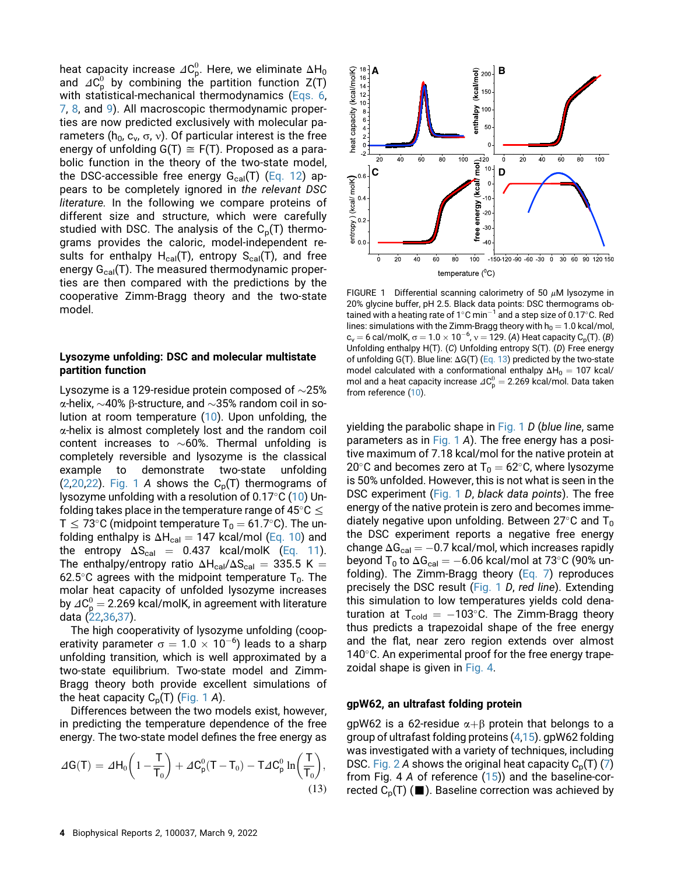<span id="page-3-0"></span>heat capacity increase  $\varDelta\mathsf{C}^0_\mathsf{p}.$  Here, we eliminate  $\Delta\mathsf{H}_0$ and  $\varDelta C_{\sf p}^0$  by combining the partition function Z(T) with statistical-mechanical thermodynamics ([Eqs. 6,](#page-2-4) [7](#page-2-5), [8](#page-2-6), and [9](#page-2-7)). All macroscopic thermodynamic properties are now predicted exclusively with molecular parameters ( $h_0$ ,  $c_v$ ,  $\sigma$ ,  $v$ ). Of particular interest is the free energy of unfolding  $G(T) \cong F(T)$ . Proposed as a parabolic function in the theory of the two-state model, the DSC-accessible free energy  $G_{cal}(T)$  ([Eq. 12\)](#page-2-2) appears to be completely ignored in the relevant DSC literature. In the following we compare proteins of different size and structure, which were carefully studied with DSC. The analysis of the  $C_p(T)$  thermograms provides the caloric, model-independent results for enthalpy  $H_{cal}(T)$ , entropy  $S_{cal}(T)$ , and free energy  $G_{\text{cal}}(T)$ . The measured thermodynamic properties are then compared with the predictions by the cooperative Zimm-Bragg theory and the two-state model.

## Lysozyme unfolding: DSC and molecular multistate partition function

Lysozyme is a 129-residue protein composed of  $\sim$ 25%  $\alpha$ -helix,  $\sim$ 40%  $\beta$ -structure, and  $\sim$ 35% random coil in solution at room temperature [\(10](#page-9-7)). Upon unfolding, the  $\alpha$ -helix is almost completely lost and the random coil content increases to  $\sim 60\%$ . Thermal unfolding is completely reversible and lysozyme is the classical example to demonstrate two-state unfolding ([2](#page-9-1)[,20](#page-9-14)[,22](#page-9-16)). [Fig. 1](#page-3-0) A shows the  $C_p(T)$  thermograms of lysozyme unfolding with a resolution of  $0.17^{\circ}$ C [\(10](#page-9-7)) Unfolding takes place in the temperature range of 45 $\degree$ C  $\leq$ T  $\leq$  73°C (midpoint temperature T<sub>0</sub> = 61.7°C). The unfolding enthalpy is  $\Delta H_{cal} = 147$  kcal/mol [\(Eq. 10](#page-2-0)) and the entropy  $\Delta S_{\text{cal}} = 0.437$  kcal/molK [\(Eq. 11\)](#page-2-1). The enthalpy/entropy ratio  $\Delta H_{cal}/\Delta S_{cal} = 335.5$  K = 62.5°C agrees with the midpoint temperature  $T_0$ . The molar heat capacity of unfolded lysozyme increases by  $\angle 10^0 = 2.269$  kcal/molK, in agreement with literature data [\(22](#page-9-16)[,36](#page-10-9)[,37](#page-10-10)).

The high cooperativity of lysozyme unfolding (cooperativity parameter  $\sigma = 1.0 \times 10^{-6}$ ) leads to a sharp unfolding transition, which is well approximated by a two-state equilibrium. Two-state model and Zimm-Bragg theory both provide excellent simulations of the heat capacity  $C_p(T)$  [\(Fig. 1](#page-3-0) A).

<span id="page-3-1"></span>Differences between the two models exist, however, in predicting the temperature dependence of the free energy. The two-state model defines the free energy as

$$
\Delta G(T) = \Delta H_0 \left( 1 - \frac{T}{T_0} \right) + \Delta C_p^0 (T - T_0) - T \Delta C_p^0 \ln \left( \frac{T}{T_0} \right),
$$
\n(13)



FIGURE 1 Differential scanning calorimetry of 50  $\mu$ M lysozyme in 20% glycine buffer, pH 2.5. Black data points: DSC thermograms obtained with a heating rate of  $1^{\circ}$ C min<sup>-1</sup> and a step size of 0.17 $^{\circ}$ C. Red lines: simulations with the Zimm-Bragg theory with  $h_0 = 1.0$  kcal/mol,  $c_v =$  6 cal/molK,  $\sigma = 1.0 \times 10^{-6}$ ,  $v = 129$ . (A) Heat capacity  $C_p(T)$ . (B) Unfolding enthalpy H(T). (C) Unfolding entropy S(T). (D) Free energy of unfolding G(T). Blue line:  $\Delta G(T)$  ([Eq. 13](#page-3-1)) predicted by the two-state model calculated with a conformational enthalpy  $\Delta H_0 = 107$  kcal/ mol and a heat capacity increase  $\varDelta C_{\mathrm{p}}^{0} = 2.269$  kcal/mol. Data taken from reference ([10](#page-9-7)).

yielding the parabolic shape in [Fig. 1](#page-3-0) D (blue line, same parameters as in [Fig. 1](#page-3-0) A). The free energy has a positive maximum of 7.18 kcal/mol for the native protein at 20 $\degree$ C and becomes zero at T<sub>0</sub> = 62 $\degree$ C, where lysozyme is 50% unfolded. However, this is not what is seen in the DSC experiment [\(Fig. 1](#page-3-0) D, black data points). The free energy of the native protein is zero and becomes immediately negative upon unfolding. Between  $27^{\circ}$ C and T<sub>0</sub> the DSC experiment reports a negative free energy change  $\Delta G_{\text{cal}} = -0.7$  kcal/mol, which increases rapidly beyond T<sub>0</sub> to  $\Delta G_{cal} = -6.06$  kcal/mol at 73°C (90% unfolding). The Zimm-Bragg theory ([Eq. 7\)](#page-2-5) reproduces precisely the DSC result [\(Fig. 1](#page-3-0) D, red line). Extending this simulation to low temperatures yields cold denaturation at  $T_{cold} = -103^{\circ}$ C. The Zimm-Bragg theory thus predicts a trapezoidal shape of the free energy and the flat, near zero region extends over almost 140 $\degree$ C. An experimental proof for the free energy trapezoidal shape is given in [Fig. 4](#page-5-0).

### gpW62, an ultrafast folding protein

gpW62 is a 62-residue  $\alpha + \beta$  protein that belongs to a group of ultrafast folding proteins [\(4,](#page-9-3)[15\)](#page-9-8). gpW62 folding was investigated with a variety of techniques, including DSC. [Fig. 2](#page-4-0) A shows the original heat capacity  $C_p(T)$  ([7](#page-9-6)) from Fig. 4 A of reference  $(15)$  $(15)$ ) and the baseline-corrected  $C_p(T)$  ( $\blacksquare$ ). Baseline correction was achieved by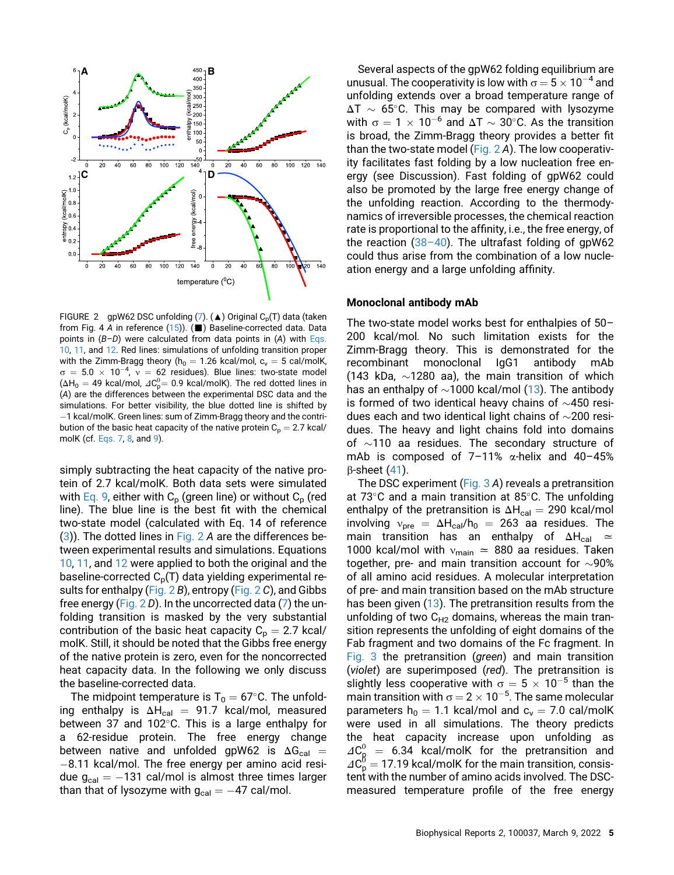<span id="page-4-0"></span>

FIGURE 2 gpW62 DSC unfolding  $(7)$  $(7)$ . ( $\triangle$ ) Original C<sub>p</sub>(T) data (taken from Fig. 4 A in reference  $(15)$  $(15)$ ). ( $\blacksquare$ ) Baseline-corrected data. Data points in  $(B-D)$  were calculated from data points in  $(A)$  with [Eqs.](#page-2-0) [10](#page-2-0), [11](#page-2-1), and [12.](#page-2-2) Red lines: simulations of unfolding transition proper with the Zimm-Bragg theory ( $h_0 = 1.26$  kcal/mol,  $c_v = 5$  cal/molK,  $\sigma = 5.0 \times 10^{-4}$ ,  $v = 62$  residues). Blue lines: two-state model  $(\Delta H_0 = 49 \text{ kcal/mol}, \Delta C_p^0 = 0.9 \text{ kcal/molK}).$  The red dotted lines in (A) are the differences between the experimental DSC data and the simulations. For better visibility, the blue dotted line is shifted by  $-1$  kcal/molK. Green lines: sum of Zimm-Bragg theory and the contribution of the basic heat capacity of the native protein  $C_p = 2.7$  kcal/ molK (cf. [Eqs. 7,](#page-2-5) [8](#page-2-6), and [9\)](#page-2-7).

simply subtracting the heat capacity of the native protein of 2.7 kcal/molK. Both data sets were simulated with [Eq. 9,](#page-2-7) either with  $C_p$  (green line) or without  $C_p$  (red line). The blue line is the best fit with the chemical two-state model (calculated with Eq. 14 of reference ([3](#page-9-2))). The dotted lines in [Fig. 2](#page-4-0) A are the differences between experimental results and simulations. Equations [10](#page-2-0), [11,](#page-2-1) and [12](#page-2-2) were applied to both the original and the baseline-corrected  $C_p(T)$  data yielding experimental results for enthalpy [\(Fig. 2](#page-4-0) B), entropy [\(Fig. 2](#page-4-0) C), and Gibbs free energy (Fig.  $2 D$ ). In the uncorrected data [\(7\)](#page-9-6) the unfolding transition is masked by the very substantial contribution of the basic heat capacity  $C_p = 2.7$  kcal/ molK. Still, it should be noted that the Gibbs free energy of the native protein is zero, even for the noncorrected heat capacity data. In the following we only discuss the baseline-corrected data.

The midpoint temperature is  $T_0 = 67^{\circ}$ C. The unfolding enthalpy is  $\Delta H_{cal} = 91.7$  kcal/mol, measured between 37 and 102 $^{\circ}$ C. This is a large enthalpy for a 62-residue protein. The free energy change between native and unfolded gpW62 is  $\Delta G_{\text{cal}} =$  $-8.11$  kcal/mol. The free energy per amino acid residue  $g_{cal} = -131$  cal/mol is almost three times larger than that of lysozyme with  $g_{cal} = -47$  cal/mol.

Several aspects of the gpW62 folding equilibrium are unusual. The cooperativity is low with  $\sigma = 5 \times 10^{-4}$  and unfolding extends over a broad temperature range of  $\Delta T \sim 65^{\circ}$ C. This may be compared with lysozyme with  $\sigma = 1 \times 10^{-6}$  and  $\Delta T \sim 30^{\circ}$ C. As the transition is broad, the Zimm-Bragg theory provides a better fit than the two-state model (Fig.  $2$  A). The low cooperativity facilitates fast folding by a low nucleation free energy (see Discussion). Fast folding of gpW62 could also be promoted by the large free energy change of the unfolding reaction. According to the thermodynamics of irreversible processes, the chemical reaction rate is proportional to the affinity, i.e., the free energy, of the reaction  $(38-40)$  $(38-40)$ . The ultrafast folding of gpW62 could thus arise from the combination of a low nucleation energy and a large unfolding affinity.

### Monoclonal antibody mAb

The two-state model works best for enthalpies of 50– 200 kcal/mol. No such limitation exists for the Zimm-Bragg theory. This is demonstrated for the recombinant monoclonal IgG1 antibody mAb (143 kDa,  $\sim$ 1280 aa), the main transition of which has an enthalpy of  $\sim$ 1000 kcal/mol [\(13](#page-9-9)). The antibody is formed of two identical heavy chains of  $\sim$ 450 residues each and two identical light chains of  $\sim$ 200 residues. The heavy and light chains fold into domains of  $\sim$ 110 aa residues. The secondary structure of mAb is composed of  $7-11\%$   $\alpha$ -helix and  $40-45\%$  $\beta$ -sheet [\(41](#page-10-12)).

The DSC experiment ([Fig. 3](#page-5-0) A) reveals a pretransition at 73 $\degree$ C and a main transition at 85 $\degree$ C. The unfolding enthalpy of the pretransition is  $\Delta H_{cal} = 290$  kcal/mol involving  $v_{\text{pre}} = \Delta H_{\text{cal}}/h_0 = 263$  aa residues. The main transition has an enthalpy of  $\Delta H_{cal} \simeq$ 1000 kcal/mol with  $v_{\text{main}} \approx 880$  aa residues. Taken together, pre- and main transition account for  $\sim$ 90% of all amino acid residues. A molecular interpretation of pre- and main transition based on the mAb structure has been given [\(13](#page-9-9)). The pretransition results from the unfolding of two  $C_{H2}$  domains, whereas the main transition represents the unfolding of eight domains of the Fab fragment and two domains of the Fc fragment. In [Fig. 3](#page-5-0) the pretransition (green) and main transition (violet) are superimposed (red). The pretransition is slightly less cooperative with  $\sigma = 5 \times 10^{-5}$  than the main transition with  $\sigma = 2 \times 10^{-5}$ . The same molecular parameters  $h_0 = 1.1$  kcal/mol and  $c_v = 7.0$  cal/molK were used in all simulations. The theory predicts the heat capacity increase upon unfolding as  $\Delta C_{\rm R}^0$  = 6.34 kcal/molK for the pretransition and  $\Delta C_{\sf p}^0 =$  17.19 kcal/molK for the main transition, consistent with the number of amino acids involved. The DSCmeasured temperature profile of the free energy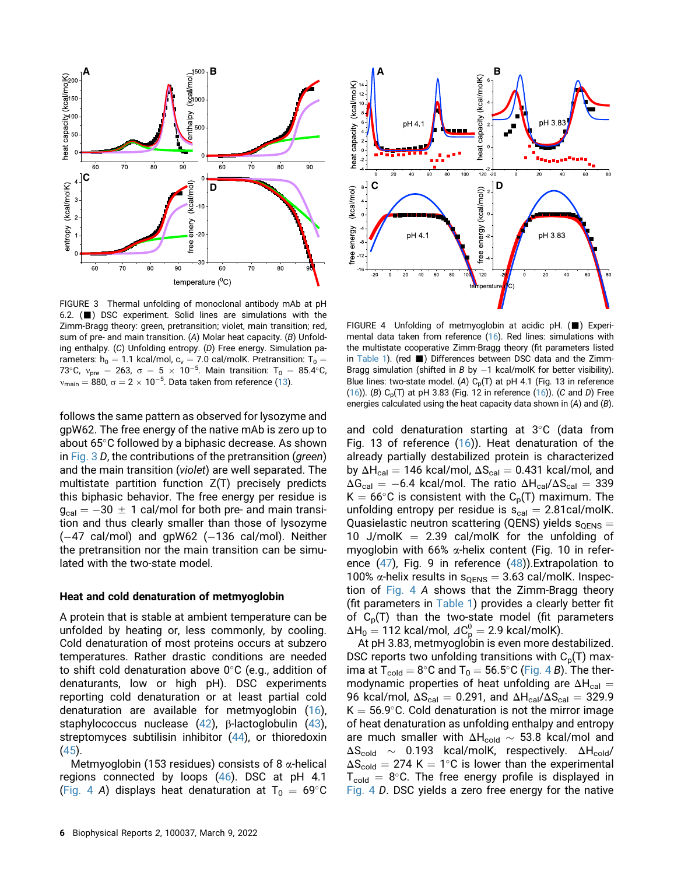<span id="page-5-0"></span>

FIGURE 3 Thermal unfolding of monoclonal antibody mAb at pH 6.2.  $(\blacksquare)$  DSC experiment. Solid lines are simulations with the Zimm-Bragg theory: green, pretransition; violet, main transition; red, sum of pre- and main transition. (A) Molar heat capacity. (B) Unfolding enthalpy. (C) Unfolding entropy. (D) Free energy. Simulation parameters: h<sub>0</sub> = 1.1 kcal/mol, c<sub>v</sub> = 7.0 cal/molK. Pretransition: T<sub>0</sub> =<br>73°C, v<sub>pre</sub> = 263, σ = 5 × 10<sup>-5</sup>. Main transition: T<sub>0</sub> = 85.4°C,  $v_{\text{main}} = 880$ ,  $\sigma = 2 \times 10^{-5}$ . Data taken from reference ([13](#page-9-9)).

follows the same pattern as observed for lysozyme and gpW62. The free energy of the native mAb is zero up to about 65°C followed by a biphasic decrease. As shown in [Fig. 3](#page-5-0) D, the contributions of the pretransition (green) and the main transition (violet) are well separated. The multistate partition function Z(T) precisely predicts this biphasic behavior. The free energy per residue is  $g_{cal} = -30 \pm 1$  cal/mol for both pre- and main transition and thus clearly smaller than those of lysozyme  $(-47 \text{ cal/mol})$  and gpW62  $(-136 \text{ cal/mol})$ . Neither the pretransition nor the main transition can be simulated with the two-state model.

### Heat and cold denaturation of metmyoglobin

A protein that is stable at ambient temperature can be unfolded by heating or, less commonly, by cooling. Cold denaturation of most proteins occurs at subzero temperatures. Rather drastic conditions are needed to shift cold denaturation above  $0^{\circ}$ C (e.g., addition of denaturants, low or high pH). DSC experiments reporting cold denaturation or at least partial cold denaturation are available for metmyoglobin [\(16](#page-9-10)), staphylococcus nuclease  $(42)$ ,  $\beta$ -lactoglobulin  $(43)$  $(43)$ , streptomyces subtilisin inhibitor ([44\)](#page-10-15), or thioredoxin ([45\)](#page-10-16).

Metmyoglobin (153 residues) consists of 8  $\alpha$ -helical regions connected by loops ([46\)](#page-10-17). DSC at pH 4.1 ([Fig. 4](#page-5-0) A) displays heat denaturation at  $T_0 = 69^{\circ}$ C



FIGURE 4 Unfolding of metmyoglobin at acidic pH. ( $\blacksquare$ ) Experimental data taken from reference [\(16\)](#page-9-10). Red lines: simulations with the multistate cooperative Zimm-Bragg theory (fit parameters listed in [Table 1](#page-6-0)). (red  $\blacksquare$ ) Differences between DSC data and the Zimm-Bragg simulation (shifted in B by  $-1$  kcal/molK for better visibility). Blue lines: two-state model. (A)  $C_p(T)$  at pH 4.1 (Fig. 13 in reference [\(16\)](#page-9-10)). (B)  $C_p(T)$  at pH 3.83 (Fig. 12 in reference ([16](#page-9-10))). (C and D) Free energies calculated using the heat capacity data shown in (A) and (B).

and cold denaturation starting at  $3^{\circ}$ C (data from Fig. 13 of reference ([16\)](#page-9-10)). Heat denaturation of the already partially destabilized protein is characterized by  $\Delta H_{cal} = 146$  kcal/mol,  $\Delta S_{cal} = 0.431$  kcal/mol, and  $\Delta G_{\text{cal}} = -6.4$  kcal/mol. The ratio  $\Delta H_{\text{cal}}/\Delta S_{\text{cal}} = 339$  $K = 66^{\circ}$ C is consistent with the C<sub>p</sub>(T) maximum. The unfolding entropy per residue is  $s<sub>cal</sub> = 2.81cal/molK$ . Quasielastic neutron scattering (QENS) yields  $s_{OENS} =$ 10 J/molK  $=$  2.39 cal/molK for the unfolding of myoglobin with 66%  $\alpha$ -helix content (Fig. 10 in reference  $(47)$  $(47)$ , Fig. 9 in reference  $(48)$  $(48)$ ). Extrapolation to 100%  $\alpha$ -helix results in  $s_{QENS} = 3.63$  cal/molK. Inspection of [Fig. 4](#page-5-0) A shows that the Zimm-Bragg theory (fit parameters in [Table 1\)](#page-6-0) provides a clearly better fit of  $C_p(T)$  than the two-state model (fit parameters  $\Delta H_0 = 112$  kcal/mol,  $\varDelta C^0_{\text{p}} = 2.9$  kcal/molK).

At pH 3.83, metmyoglobin is even more destabilized. DSC reports two unfolding transitions with  $C_p(T)$  max-ima at T<sub>cold</sub> = 8°C and T<sub>0</sub> = 56.5°C [\(Fig. 4](#page-5-0) B). The thermodynamic properties of heat unfolding are  $\Delta H_{cal} =$ 96 kcal/mol,  $\Delta S_{cal} = 0.291$ , and  $\Delta H_{cal}/\Delta S_{cal} = 329.9$  $K = 56.9^{\circ}$ C. Cold denaturation is not the mirror image of heat denaturation as unfolding enthalpy and entropy are much smaller with  $\Delta H_{cold} \sim 53.8$  kcal/mol and  $\Delta S_{\text{cold}} \sim 0.193$  kcal/molK, respectively.  $\Delta H_{\text{cold}}/$  $\Delta S_{\text{cold}} = 274$  K = 1°C is lower than the experimental  $T_{cold}$  = 8°C. The free energy profile is displayed in [Fig. 4](#page-5-0) D. DSC yields a zero free energy for the native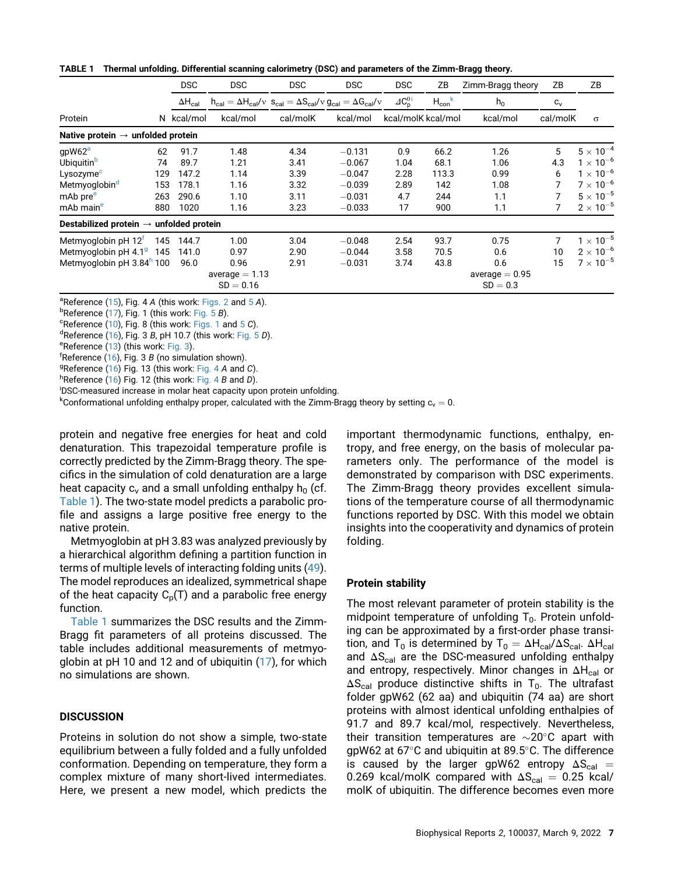<span id="page-6-0"></span>

| TABLE 1 Thermal unfolding. Differential scanning calorimetry (DSC) and parameters of the Zimm-Bragg theory. |  |  |  |
|-------------------------------------------------------------------------------------------------------------|--|--|--|
|-------------------------------------------------------------------------------------------------------------|--|--|--|

|                                   | <b>DSC</b>       | <b>DSC</b>                                                                                                                                              | <b>DSC</b>                                                        | <b>DSC</b>       | <b>DSC</b>                              | ΖB                                                                                     |                  | ΖB                 | ZB                            |
|-----------------------------------|------------------|---------------------------------------------------------------------------------------------------------------------------------------------------------|-------------------------------------------------------------------|------------------|-----------------------------------------|----------------------------------------------------------------------------------------|------------------|--------------------|-------------------------------|
|                                   | $\Delta H_{cal}$ |                                                                                                                                                         |                                                                   |                  | $\triangle$ C <sub>p</sub> <sup>0</sup> | $H_{con}$ <sup>k</sup>                                                                 | $h_0$            | $c_v$              |                               |
|                                   |                  | kcal/mol                                                                                                                                                | cal/molK                                                          | kcal/mol         |                                         |                                                                                        | kcal/mol         |                    | $\sigma$                      |
|                                   |                  |                                                                                                                                                         |                                                                   |                  |                                         |                                                                                        |                  |                    |                               |
| 62                                | 91.7             | 1.48                                                                                                                                                    | 4.34                                                              | $-0.131$         | 0.9                                     | 66.2                                                                                   | 1.26             | 5                  | $5 \times 10^{-4}$            |
| 74                                | 89.7             | 1.21                                                                                                                                                    | 3.41                                                              | $-0.067$         | 1.04                                    | 68.1                                                                                   | 1.06             | 4.3                | $1 \times 10^{-6}$            |
|                                   | 147.2            | 1.14                                                                                                                                                    | 3.39                                                              | $-0.047$         | 2.28                                    | 113.3                                                                                  | 0.99             | 6                  | $1 \times 10^{-6}$            |
|                                   | 178.1            | 1.16                                                                                                                                                    | 3.32                                                              | $-0.039$         | 2.89                                    | 142                                                                                    | 1.08             |                    | $7 \times 10^{-6}$            |
|                                   | 290.6            | 1.10                                                                                                                                                    | 3.11                                                              | $-0.031$         | 4.7                                     | 244                                                                                    | 1.1              |                    | $5 \times 10^{-5}$            |
|                                   | 1020             | 1.16                                                                                                                                                    | 3.23                                                              | $-0.033$         | 17                                      | 900                                                                                    | 1.1              |                    | $2 \times 10^{-5}$            |
|                                   |                  |                                                                                                                                                         |                                                                   |                  |                                         |                                                                                        |                  |                    |                               |
| Metmyoglobin $pH$ 12 <sup>t</sup> | 144.7            | 1.00                                                                                                                                                    | 3.04                                                              | $-0.048$         | 2.54                                    | 93.7                                                                                   | 0.75             | 7                  | $1 \times 10^{-5}$            |
|                                   | 141.0            | 0.97                                                                                                                                                    | 2.90                                                              | $-0.044$         | 3.58                                    | 70.5                                                                                   | 0.6              | 10                 | $2 \times 10^{-6}$            |
|                                   | 96.0             | 0.96                                                                                                                                                    | 2.91                                                              | $-0.031$         | 3.74                                    | 43.8                                                                                   | 0.6              | 15                 | $7 \times 10^{-5}$            |
|                                   |                  |                                                                                                                                                         |                                                                   |                  |                                         |                                                                                        | average $= 0.95$ |                    |                               |
|                                   |                  | $SD = 0.16$                                                                                                                                             |                                                                   |                  |                                         |                                                                                        | $SD = 0.3$       |                    |                               |
|                                   |                  | Native protein $\rightarrow$ unfolded protein<br>129<br>153<br>263<br>880<br>145<br>Metmyoglobin pH $4.19$ 145<br>Metmyoglobin pH 3.84 <sup>h</sup> 100 | N kcal/mol<br>Destabilized protein $\rightarrow$ unfolded protein | average $= 1.13$ |                                         | $h_{cal} = \Delta H_{cal}/v$ $s_{cal} = \Delta S_{cal}/v$ $g_{cal} = \Delta G_{cal}/v$ |                  | kcal/molK kcal/mol | Zimm-Bragg theory<br>cal/molK |

<span id="page-6-3"></span><sup>a</sup>Reference ([15\)](#page-9-8), Fig. 4 A (this work: [Figs. 2](#page-4-0) and [5](#page-8-0) A).

<span id="page-6-4"></span> $b$ Reference [\(17\)](#page-9-11), Fig. 1 (this work: [Fig. 5](#page-8-0) B).<br><sup>C</sup>Reference (10), Fig. 8 (this work: Figs. 1.3)

<span id="page-6-5"></span><sup>c</sup>Reference ([10\)](#page-9-7), Fig. 8 (this work: [Figs. 1](#page-3-0) and [5](#page-8-0) C).

<span id="page-6-6"></span><sup>d</sup>Reference [\(16\)](#page-9-10), Fig. 3 B, pH 10.7 (this work: [Fig. 5](#page-8-0) D).

<span id="page-6-7"></span>eReference ([13\)](#page-9-9) (this work: [Fig. 3\)](#page-5-0).

<span id="page-6-8"></span>fReference  $(16)$  $(16)$ , Fig. 3 B (no simulation shown).<br><sup>g</sup>Poference (16) Fig. 12 (this work: Fig. 4.4 and

<span id="page-6-9"></span><sup>g</sup>Reference [\(16\)](#page-9-10) Fig. 13 (this work: [Fig. 4](#page-5-0) A and C).

<span id="page-6-10"></span><sup>h</sup>Reference ([16\)](#page-9-10) Fig. 12 (this work: [Fig. 4](#page-5-0) B and D).

<span id="page-6-1"></span>DSC-measured increase in molar heat capacity upon protein unfolding.

<span id="page-6-2"></span> ${}^k$ Conformational unfolding enthalpy proper, calculated with the Zimm-Bragg theory by setting  $c_v = 0$ .

protein and negative free energies for heat and cold denaturation. This trapezoidal temperature profile is correctly predicted by the Zimm-Bragg theory. The specifics in the simulation of cold denaturation are a large heat capacity  $c_v$  and a small unfolding enthalpy  $h_0$  (cf. [Table 1\)](#page-6-0). The two-state model predicts a parabolic profile and assigns a large positive free energy to the native protein.

Metmyoglobin at pH 3.83 was analyzed previously by a hierarchical algorithm defining a partition function in terms of multiple levels of interacting folding units [\(49\)](#page-10-20). The model reproduces an idealized, symmetrical shape of the heat capacity  $C_p(T)$  and a parabolic free energy function.

[Table 1](#page-6-0) summarizes the DSC results and the Zimm-Bragg fit parameters of all proteins discussed. The table includes additional measurements of metmyoglobin at pH 10 and 12 and of ubiquitin [\(17](#page-9-11)), for which no simulations are shown.

## **DISCUSSION**

Proteins in solution do not show a simple, two-state equilibrium between a fully folded and a fully unfolded conformation. Depending on temperature, they form a complex mixture of many short-lived intermediates. Here, we present a new model, which predicts the important thermodynamic functions, enthalpy, entropy, and free energy, on the basis of molecular parameters only. The performance of the model is demonstrated by comparison with DSC experiments. The Zimm-Bragg theory provides excellent simulations of the temperature course of all thermodynamic functions reported by DSC. With this model we obtain insights into the cooperativity and dynamics of protein folding.

## Protein stability

The most relevant parameter of protein stability is the midpoint temperature of unfolding  $T_0$ . Protein unfolding can be approximated by a first-order phase transition, and T<sub>0</sub> is determined by T<sub>0</sub> =  $\Delta H_{cal} / \Delta S_{cal}$ .  $\Delta H_{cal}$ and  $\Delta S_{cal}$  are the DSC-measured unfolding enthalpy and entropy, respectively. Minor changes in  $\Delta H_{cal}$  or  $\Delta S_{\text{cal}}$  produce distinctive shifts in T<sub>0</sub>. The ultrafast folder gpW62 (62 aa) and ubiquitin (74 aa) are short proteins with almost identical unfolding enthalpies of 91.7 and 89.7 kcal/mol, respectively. Nevertheless, their transition temperatures are  $\sim$ 20 $\degree$ C apart with gpW62 at 67 $\degree$ C and ubiquitin at 89.5 $\degree$ C. The difference is caused by the larger gpW62 entropy  $\Delta S_{\text{cal}} =$ 0.269 kcal/molK compared with  $\Delta S_{\text{cal}} = 0.25$  kcal/ molK of ubiquitin. The difference becomes even more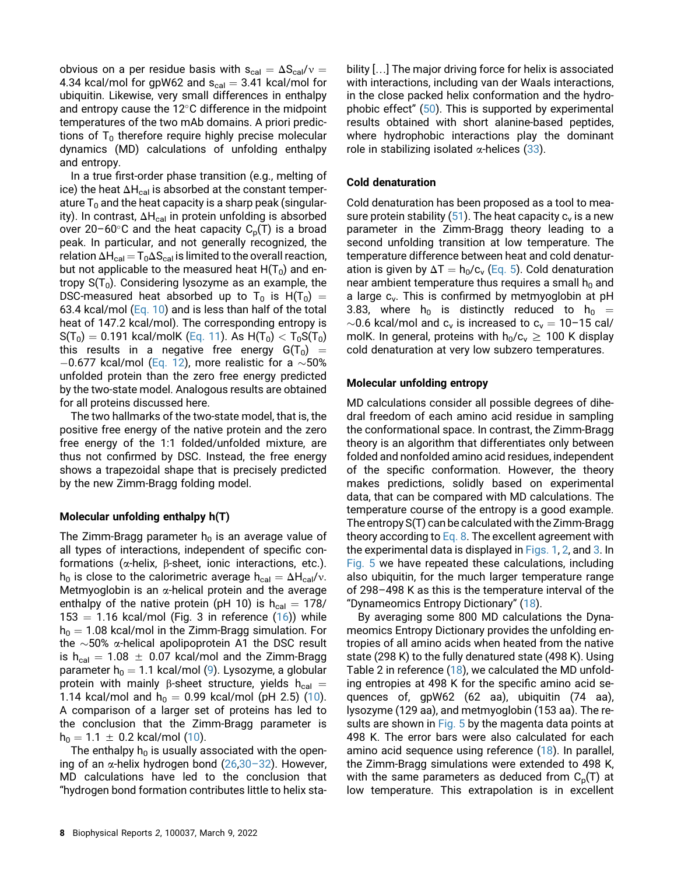obvious on a per residue basis with  $s_{cal} = \Delta S_{cal}/v$  = 4.34 kcal/mol for gpW62 and  $s_{cal} = 3.41$  kcal/mol for ubiquitin. Likewise, very small differences in enthalpy and entropy cause the  $12^{\circ}$ C difference in the midpoint temperatures of the two mAb domains. A priori predictions of  $T_0$  therefore require highly precise molecular dynamics (MD) calculations of unfolding enthalpy and entropy.

In a true first-order phase transition (e.g., melting of ice) the heat  $\Delta H_{cal}$  is absorbed at the constant temperature  $T_0$  and the heat capacity is a sharp peak (singularity). In contrast,  $\Delta H_{cal}$  in protein unfolding is absorbed over 20–60°C and the heat capacity  $C_p(T)$  is a broad peak. In particular, and not generally recognized, the relation  $\Delta H_{cal} = T_0 \Delta S_{cal}$  is limited to the overall reaction, but not applicable to the measured heat  $H(T_0)$  and entropy  $S(T_0)$ . Considering lysozyme as an example, the DSC-measured heat absorbed up to T<sub>0</sub> is H(T<sub>0</sub>) = 63.4 kcal/mol ([Eq. 10](#page-2-0)) and is less than half of the total heat of 147.2 kcal/mol). The corresponding entropy is  $S(T_0) = 0.191$  kcal/molK ([Eq. 11\)](#page-2-1). As  $H(T_0) < T_0S(T_0)$ this results in a negative free energy  $G(T_0)$  =  $-0.677$  kcal/mol [\(Eq. 12](#page-2-2)), more realistic for a  $\sim$ 50% unfolded protein than the zero free energy predicted by the two-state model. Analogous results are obtained for all proteins discussed here.

The two hallmarks of the two-state model, that is, the positive free energy of the native protein and the zero free energy of the 1:1 folded/unfolded mixture, are thus not confirmed by DSC. Instead, the free energy shows a trapezoidal shape that is precisely predicted by the new Zimm-Bragg folding model.

## Molecular unfolding enthalpy h(T)

The Zimm-Bragg parameter  $h_0$  is an average value of all types of interactions, independent of specific conformations ( $\alpha$ -helix,  $\beta$ -sheet, ionic interactions, etc.).  $h_0$  is close to the calorimetric average  $h_{cal} = \Delta H_{cal}/v$ . Metmyoglobin is an  $\alpha$ -helical protein and the average enthalpy of the native protein (pH 10) is  $h_{cal} = 178/$  $153 = 1.16$  kcal/mol (Fig. 3 in reference  $(16)$  $(16)$ ) while  $h_0 = 1.08$  kcal/mol in the Zimm-Bragg simulation. For the  $\sim$ 50%  $\alpha$ -helical apolipoprotein A1 the DSC result is  $h_{cal} = 1.08 \pm 0.07$  kcal/mol and the Zimm-Bragg parameter  $h_0 = 1.1$  kcal/mol ([9](#page-9-19)). Lysozyme, a globular protein with mainly  $\beta$ -sheet structure, yields h<sub>cal</sub> = 1.14 kcal/mol and  $h_0 = 0.99$  kcal/mol (pH 2.5) [\(10](#page-9-7)). A comparison of a larger set of proteins has led to the conclusion that the Zimm-Bragg parameter is  $h_0 = 1.1 \pm 0.2$  kcal/mol ([10\)](#page-9-7).

The enthalpy  $h_0$  is usually associated with the opening of an  $\alpha$ -helix hydrogen bond [\(26](#page-10-5),30–[32\)](#page-10-6). However, MD calculations have led to the conclusion that "hydrogen bond formation contributes little to helix stability [...] The major driving force for helix is associated with interactions, including van der Waals interactions, in the close packed helix conformation and the hydrophobic effect" ([50\)](#page-10-21). This is supported by experimental results obtained with short alanine-based peptides, where hydrophobic interactions play the dominant role in stabilizing isolated  $\alpha$ -helices ([33\)](#page-10-22).

## Cold denaturation

Cold denaturation has been proposed as a tool to mea-sure protein stability [\(51\)](#page-10-23). The heat capacity  $c_v$  is a new parameter in the Zimm-Bragg theory leading to a second unfolding transition at low temperature. The temperature difference between heat and cold denaturation is given by  $\Delta T = h_0/c_v$  ([Eq. 5](#page-2-8)). Cold denaturation near ambient temperature thus requires a small  $h_0$  and a large  $c_v$ . This is confirmed by metmyoglobin at pH 3.83, where  $h_0$  is distinctly reduced to  $h_0 =$  $\sim$ 0.6 kcal/mol and c<sub>v</sub> is increased to c<sub>v</sub> = 10–15 cal/ molK. In general, proteins with  $h_0/c_v \ge 100$  K display cold denaturation at very low subzero temperatures.

## Molecular unfolding entropy

MD calculations consider all possible degrees of dihedral freedom of each amino acid residue in sampling the conformational space. In contrast, the Zimm-Bragg theory is an algorithm that differentiates only between folded and nonfolded amino acid residues, independent of the specific conformation. However, the theory makes predictions, solidly based on experimental data, that can be compared with MD calculations. The temperature course of the entropy is a good example. The entropy S(T) can be calculated with the Zimm-Bragg theory according to  $Eq. 8$ . The excellent agreement with the experimental data is displayed in [Figs. 1](#page-3-0), [2,](#page-4-0) and [3.](#page-5-0) In [Fig. 5](#page-8-0) we have repeated these calculations, including also ubiquitin, for the much larger temperature range of 298–498 K as this is the temperature interval of the "Dynameomics Entropy Dictionary" ([18\)](#page-9-12).

By averaging some 800 MD calculations the Dynameomics Entropy Dictionary provides the unfolding entropies of all amino acids when heated from the native state (298 K) to the fully denatured state (498 K). Using Table 2 in reference [\(18](#page-9-12)), we calculated the MD unfolding entropies at 498 K for the specific amino acid sequences of, gpW62 (62 aa), ubiquitin (74 aa), lysozyme (129 aa), and metmyoglobin (153 aa). The re-sults are shown in [Fig. 5](#page-8-0) by the magenta data points at 498 K. The error bars were also calculated for each amino acid sequence using reference ([18\)](#page-9-12). In parallel, the Zimm-Bragg simulations were extended to 498 K, with the same parameters as deduced from  $C_p(T)$  at low temperature. This extrapolation is in excellent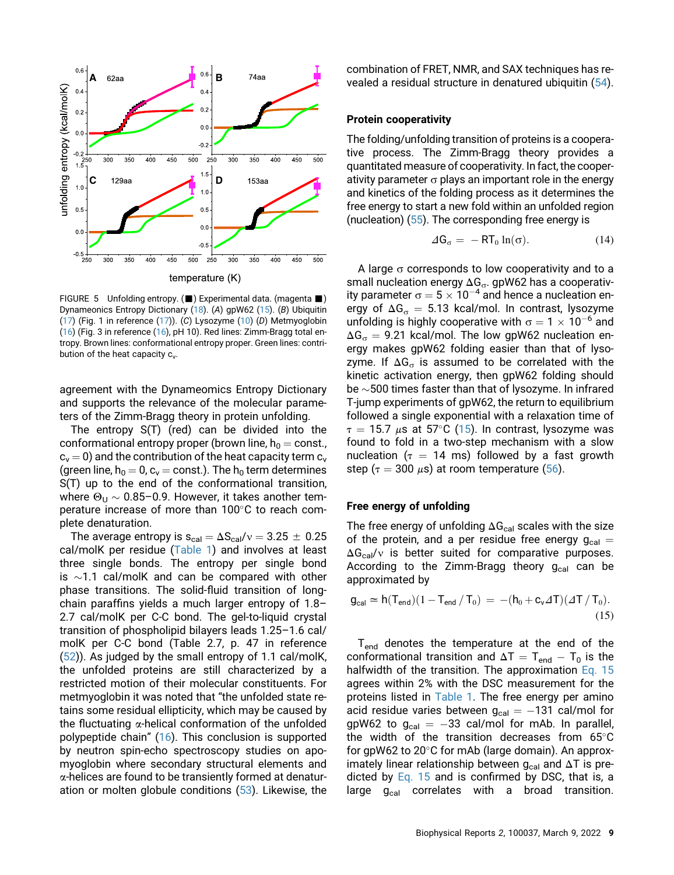<span id="page-8-0"></span>

FIGURE 5 Unfolding entropy. ( $\blacksquare$ ) Experimental data. (magenta  $\blacksquare$ ) Dynameonics Entropy Dictionary [\(18\)](#page-9-12). (A) gpW62 [\(15](#page-9-8)). (B) Ubiquitin [\(17\)](#page-9-11) (Fig. 1 in reference ([17](#page-9-11))). (C) Lysozyme [\(10\)](#page-9-7) (D) Metmyoglobin [\(16\)](#page-9-10) (Fig. 3 in reference ([16\)](#page-9-10), pH 10). Red lines: Zimm-Bragg total entropy. Brown lines: conformational entropy proper. Green lines: contribution of the heat capacity  $c_v$ .

agreement with the Dynameomics Entropy Dictionary and supports the relevance of the molecular parameters of the Zimm-Bragg theory in protein unfolding.

The entropy S(T) (red) can be divided into the conformational entropy proper (brown line,  $h_0 = \text{const.}$ ,  $c_v = 0$ ) and the contribution of the heat capacity term  $c_v$ (green line,  $h_0 = 0$ ,  $c_v = \text{const.}$ ). The  $h_0$  term determines S(T) up to the end of the conformational transition, where  $\Theta_{\text{U}} \sim 0.85$ –0.9. However, it takes another temperature increase of more than  $100^{\circ}$ C to reach complete denaturation.

<span id="page-8-1"></span>The average entropy is  $s_{cal} = \Delta S_{cal}/v = 3.25 \pm 0.25$ cal/molK per residue ([Table 1](#page-6-0)) and involves at least three single bonds. The entropy per single bond is  $\sim$ 1.1 cal/molK and can be compared with other phase transitions. The solid-fluid transition of longchain paraffins yields a much larger entropy of 1.8– 2.7 cal/molK per C-C bond. The gel-to-liquid crystal transition of phospholipid bilayers leads 1.25–1.6 cal/ molK per C-C bond (Table 2.7, p. 47 in reference ([52\)](#page-10-24)). As judged by the small entropy of 1.1 cal/molK, the unfolded proteins are still characterized by a restricted motion of their molecular constituents. For metmyoglobin it was noted that "the unfolded state retains some residual ellipticity, which may be caused by the fluctuating  $\alpha$ -helical conformation of the unfolded polypeptide chain" [\(16](#page-9-10)). This conclusion is supported by neutron spin-echo spectroscopy studies on apomyoglobin where secondary structural elements and  $\alpha$ -helices are found to be transiently formed at denaturation or molten globule conditions [\(53](#page-10-25)). Likewise, the combination of FRET, NMR, and SAX techniques has revealed a residual structure in denatured ubiquitin ([54\)](#page-10-26).

## Protein cooperativity

The folding/unfolding transition of proteins is a cooperative process. The Zimm-Bragg theory provides a quantitated measure of cooperativity. In fact, the cooperativity parameter  $\sigma$  plays an important role in the energy and kinetics of the folding process as it determines the free energy to start a new fold within an unfolded region (nucleation) ([55](#page-10-27)). The corresponding free energy is

$$
\Delta G_{\sigma} = -RT_0 \ln(\sigma). \tag{14}
$$

A large  $\sigma$  corresponds to low cooperativity and to a small nucleation energy  $\Delta G_{\sigma}$ . gpW62 has a cooperativity parameter  $\sigma = 5 \times 10^{-4}$  and hence a nucleation energy of  $\Delta G_{\sigma} = 5.13$  kcal/mol. In contrast, lysozyme unfolding is highly cooperative with  $\sigma = 1 \times 10^{-6}$  and  $\Delta G_{\sigma}$  = 9.21 kcal/mol. The low gpW62 nucleation energy makes gpW62 folding easier than that of lysozyme. If  $\Delta G_{\sigma}$  is assumed to be correlated with the kinetic activation energy, then gpW62 folding should be  $\sim$ 500 times faster than that of lysozyme. In infrared T-jump experiments of gpW62, the return to equilibrium followed a single exponential with a relaxation time of  $\tau = 15.7$   $\mu$ s at 57°C ([15\)](#page-9-8). In contrast, lysozyme was found to fold in a two-step mechanism with a slow nucleation ( $\tau = 14$  ms) followed by a fast growth step ( $\tau = 300 \mu s$ ) at room temperature ([56\)](#page-10-28).

#### Free energy of unfolding

The free energy of unfolding  $\Delta G_{cal}$  scales with the size of the protein, and a per residue free energy  $g_{cal}$  =  $\Delta G_{cal}$  is better suited for comparative purposes. According to the Zimm-Bragg theory  $g_{cal}$  can be approximated by

$$
\mathbf{g}_{\text{cal}} \simeq \mathbf{h}(T_{\text{end}})(1 - T_{\text{end}}/T_0) = -(\mathbf{h}_0 + \mathbf{c}_v \Delta T)(\Delta T/T_0).
$$
\n(15)

T<sub>end</sub> denotes the temperature at the end of the conformational transition and  $\Delta T = T_{end} - T_0$  is the halfwidth of the transition. The approximation [Eq. 15](#page-8-1) agrees within 2% with the DSC measurement for the proteins listed in [Table 1](#page-6-0). The free energy per amino acid residue varies between  $g_{cal} = -131$  cal/mol for gpW62 to  $g_{cal} = -33$  cal/mol for mAb. In parallel, the width of the transition decreases from  $65^{\circ}$ C for gpW62 to  $20^{\circ}$ C for mAb (large domain). An approximately linear relationship between  $g_{cal}$  and  $\Delta T$  is predicted by [Eq. 15](#page-8-1) and is confirmed by DSC, that is, a large  $g_{cal}$  correlates with a broad transition.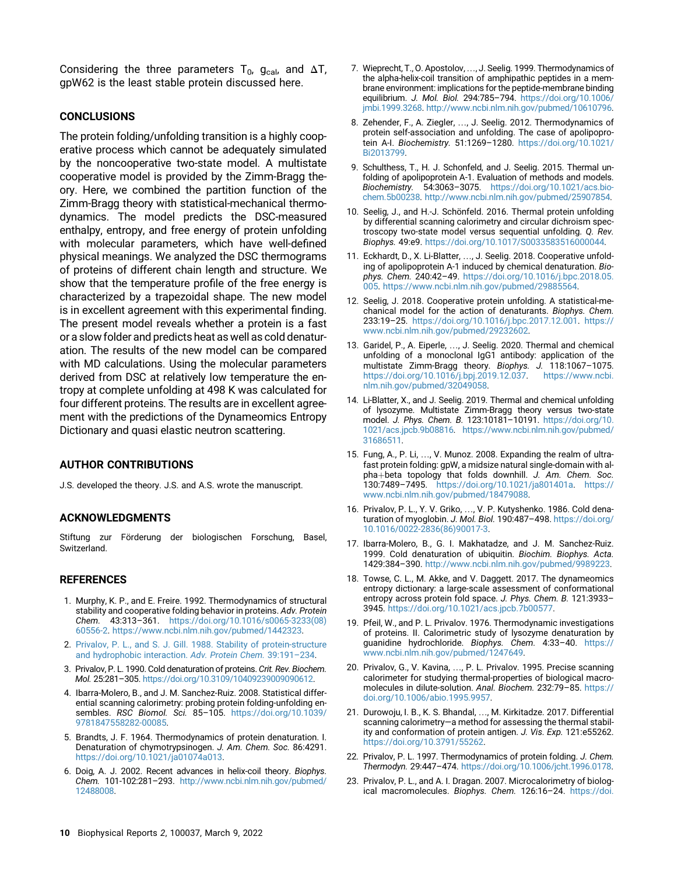Considering the three parameters T<sub>0</sub>,  $g_{cal}$ , and  $\Delta T$ , gpW62 is the least stable protein discussed here.

## CONCLUSIONS

The protein folding/unfolding transition is a highly cooperative process which cannot be adequately simulated by the noncooperative two-state model. A multistate cooperative model is provided by the Zimm-Bragg theory. Here, we combined the partition function of the Zimm-Bragg theory with statistical-mechanical thermodynamics. The model predicts the DSC-measured enthalpy, entropy, and free energy of protein unfolding with molecular parameters, which have well-defined physical meanings. We analyzed the DSC thermograms of proteins of different chain length and structure. We show that the temperature profile of the free energy is characterized by a trapezoidal shape. The new model is in excellent agreement with this experimental finding. The present model reveals whether a protein is a fast or a slow folder and predicts heat as well as cold denaturation. The results of the new model can be compared with MD calculations. Using the molecular parameters derived from DSC at relatively low temperature the entropy at complete unfolding at 498 K was calculated for four different proteins. The results are in excellent agreement with the predictions of the Dynameomics Entropy Dictionary and quasi elastic neutron scattering.

## AUTHOR CONTRIBUTIONS

J.S. developed the theory. J.S. and A.S. wrote the manuscript.

### ACKNOWLEDGMENTS

Stiftung zur Förderung der biologischen Forschung, Basel, Switzerland.

## REFERENCES

- <span id="page-9-0"></span>1. Murphy, K. P., and E. Freire. 1992. Thermodynamics of structural stability and cooperative folding behavior in proteins. Adv. Protein Chem. 43:313–361. [https://doi.org/10.1016/s0065-3233\(08\)](https://doi.org/10.1016/s0065-3233(08)60556-2) [60556-2](https://doi.org/10.1016/s0065-3233(08)60556-2). <https://www.ncbi.nlm.nih.gov/pubmed/1442323>.
- <span id="page-9-1"></span>2. [Privalov, P. L., and S. J. Gill. 1988. Stability of protein-structure](http://refhub.elsevier.com/S2667-0747(21)00037-9/sref2) [and hydrophobic interaction.](http://refhub.elsevier.com/S2667-0747(21)00037-9/sref2) Adv. Protein Chem. 39:191–234.
- <span id="page-9-2"></span>3. Privalov, P. L. 1990. Cold denaturation of proteins. Crit. Rev. Biochem. Mol. 25:281–305. <https://doi.org/10.3109/10409239009090612>.
- <span id="page-9-3"></span>4. Ibarra-Molero, B., and J. M. Sanchez-Ruiz. 2008. Statistical differential scanning calorimetry: probing protein folding-unfolding ensembles. RSC Biomol. Sci. 85–105. [https://doi.org/10.1039/](https://doi.org/10.1039/9781847558282-00085) [9781847558282-00085.](https://doi.org/10.1039/9781847558282-00085)
- <span id="page-9-4"></span>5. Brandts, J. F. 1964. Thermodynamics of protein denaturation. I. Denaturation of chymotrypsinogen. J. Am. Chem. Soc. 86:4291. [https://doi.org/10.1021/ja01074a013.](https://doi.org/10.1021/ja01074a013)
- <span id="page-9-5"></span>6. Doig, A. J. 2002. Recent advances in helix-coil theory. Biophys. Chem. 101-102:281–293. [http://www.ncbi.nlm.nih.gov/pubmed/](http://www.ncbi.nlm.nih.gov/pubmed/12488008) [12488008](http://www.ncbi.nlm.nih.gov/pubmed/12488008).
- <span id="page-9-6"></span>7. Wieprecht, T., O. Apostolov, ..., J. Seelig. 1999. Thermodynamics of the alpha-helix-coil transition of amphipathic peptides in a membrane environment: implications for the peptide-membrane binding equilibrium. J. Mol. Biol. 294:785–794. [https://doi.org/10.1006/](https://doi.org/10.1006/jmbi.1999.3268) [jmbi.1999.3268.](https://doi.org/10.1006/jmbi.1999.3268) <http://www.ncbi.nlm.nih.gov/pubmed/10610796>.
- 8. Zehender, F., A. Ziegler, ..., J. Seelig. 2012. Thermodynamics of protein self-association and unfolding. The case of apolipoprotein A-I. Biochemistry. 51:1269–1280. [https://doi.org/10.1021/](https://doi.org/10.1021/Bi2013799) [Bi2013799](https://doi.org/10.1021/Bi2013799).
- <span id="page-9-19"></span>9. Schulthess, T., H. J. Schonfeld, and J. Seelig. 2015. Thermal unfolding of apolipoprotein A-1. Evaluation of methods and models. Biochemistry. 54:3063–3075. [https://doi.org/10.1021/acs.bio](https://doi.org/10.1021/acs.biochem.5b00238)[chem.5b00238.](https://doi.org/10.1021/acs.biochem.5b00238) <http://www.ncbi.nlm.nih.gov/pubmed/25907854>.
- <span id="page-9-7"></span>10. Seelig, J., and H.-J. Schönfeld. 2016. Thermal protein unfolding by differential scanning calorimetry and circular dichroism spectroscopy two-state model versus sequential unfolding. Q. Rev. Biophys. 49:e9. [https://doi.org/10.1017/S0033583516000044.](https://doi.org/10.1017/S0033583516000044)
- 11. Eckhardt, D., X. Li-Blatter, ..., J. Seelig. 2018. Cooperative unfolding of apolipoprotein A-1 induced by chemical denaturation. Biophys. Chem. 240:42–49. [https://doi.org/10.1016/j.bpc.2018.05.](https://doi.org/10.1016/j.bpc.2018.05.005) [005](https://doi.org/10.1016/j.bpc.2018.05.005). [https://www.ncbi.nlm.nih.gov/pubmed/29885564.](https://www.ncbi.nlm.nih.gov/pubmed/29885564)
- 12. Seelig, J. 2018. Cooperative protein unfolding. A statistical-mechanical model for the action of denaturants. Biophys. Chem. 233:19–25. <https://doi.org/10.1016/j.bpc.2017.12.001>. [https://](https://www.ncbi.nlm.nih.gov/pubmed/29232602) [www.ncbi.nlm.nih.gov/pubmed/29232602.](https://www.ncbi.nlm.nih.gov/pubmed/29232602)
- <span id="page-9-9"></span>13. Garidel, P., A. Eiperle, ..., J. Seelig. 2020. Thermal and chemical unfolding of a monoclonal IgG1 antibody: application of the multistate Zimm-Bragg theory. Biophys. J. 118:1067–1075. <https://doi.org/10.1016/j.bpj.2019.12.037>. [https://www.ncbi.](https://www.ncbi.nlm.nih.gov/pubmed/32049058) [nlm.nih.gov/pubmed/32049058.](https://www.ncbi.nlm.nih.gov/pubmed/32049058)
- <span id="page-9-18"></span>14. Li-Blatter, X., and J. Seelig. 2019. Thermal and chemical unfolding of lysozyme. Multistate Zimm-Bragg theory versus two-state model. J. Phys. Chem. B. 123:10181–10191. [https://doi.org/10.](https://doi.org/10.1021/acs.jpcb.9b08816) [1021/acs.jpcb.9b08816.](https://doi.org/10.1021/acs.jpcb.9b08816) [https://www.ncbi.nlm.nih.gov/pubmed/](https://www.ncbi.nlm.nih.gov/pubmed/31686511) [31686511](https://www.ncbi.nlm.nih.gov/pubmed/31686511).
- <span id="page-9-8"></span>15. Fung, A., P. Li, ., V. Munoz. 2008. Expanding the realm of ultrafast protein folding: gpW, a midsize natural single-domain with alpha+beta topology that folds downhill. J. Am. Chem. Soc. 130:7489–7495. <https://doi.org/10.1021/ja801401a>. [https://](https://www.ncbi.nlm.nih.gov/pubmed/18479088) [www.ncbi.nlm.nih.gov/pubmed/18479088.](https://www.ncbi.nlm.nih.gov/pubmed/18479088)
- <span id="page-9-10"></span>16. Privalov, P. L., Y. V. Griko, ..., V. P. Kutyshenko. 1986. Cold denaturation of myoglobin. J. Mol. Biol. 190:487–498. [https://doi.org/](https://doi.org/10.1016/0022-2836(86)90017-3) [10.1016/0022-2836\(86\)90017-3.](https://doi.org/10.1016/0022-2836(86)90017-3)
- <span id="page-9-11"></span>17. Ibarra-Molero, B., G. I. Makhatadze, and J. M. Sanchez-Ruiz. 1999. Cold denaturation of ubiquitin. Biochim. Biophys. Acta. 1429:384–390. [http://www.ncbi.nlm.nih.gov/pubmed/9989223.](http://www.ncbi.nlm.nih.gov/pubmed/9989223)
- <span id="page-9-12"></span>18. Towse, C. L., M. Akke, and V. Daggett. 2017. The dynameomics entropy dictionary: a large-scale assessment of conformational entropy across protein fold space. J. Phys. Chem. B. 121:3933– 3945. [https://doi.org/10.1021/acs.jpcb.7b00577.](https://doi.org/10.1021/acs.jpcb.7b00577)
- <span id="page-9-13"></span>19. Pfeil, W., and P. L. Privalov. 1976. Thermodynamic investigations of proteins. II. Calorimetric study of lysozyme denaturation by guanidine hydrochloride. Biophys. Chem. 4:33–40. [https://](https://www.ncbi.nlm.nih.gov/pubmed/1247649) [www.ncbi.nlm.nih.gov/pubmed/1247649](https://www.ncbi.nlm.nih.gov/pubmed/1247649).
- <span id="page-9-14"></span>20. Privalov, G., V. Kavina, ..., P. L. Privalov. 1995. Precise scanning calorimeter for studying thermal-properties of biological macromolecules in dilute-solution. Anal. Biochem. 232:79–85. [https://](https://doi.org/10.1006/abio.1995.9957) [doi.org/10.1006/abio.1995.9957.](https://doi.org/10.1006/abio.1995.9957)
- <span id="page-9-15"></span>21. Durowoju, I. B., K. S. Bhandal, ..., M. Kirkitadze. 2017. Differential scanning calorimetry—a method for assessing the thermal stability and conformation of protein antigen. J. Vis. Exp. 121:e55262. [https://doi.org/10.3791/55262.](https://doi.org/10.3791/55262)
- <span id="page-9-17"></span><span id="page-9-16"></span>22. Privalov, P. L. 1997. Thermodynamics of protein folding. J. Chem. Thermodyn. 29:447–474. <https://doi.org/10.1006/jcht.1996.0178>.
- 23. Privalov, P. L., and A. I. Dragan. 2007. Microcalorimetry of biological macromolecules. Biophys. Chem. 126:16-24. [https://doi.](https://doi.org/10.1016/j.bpc.2006.05.004)